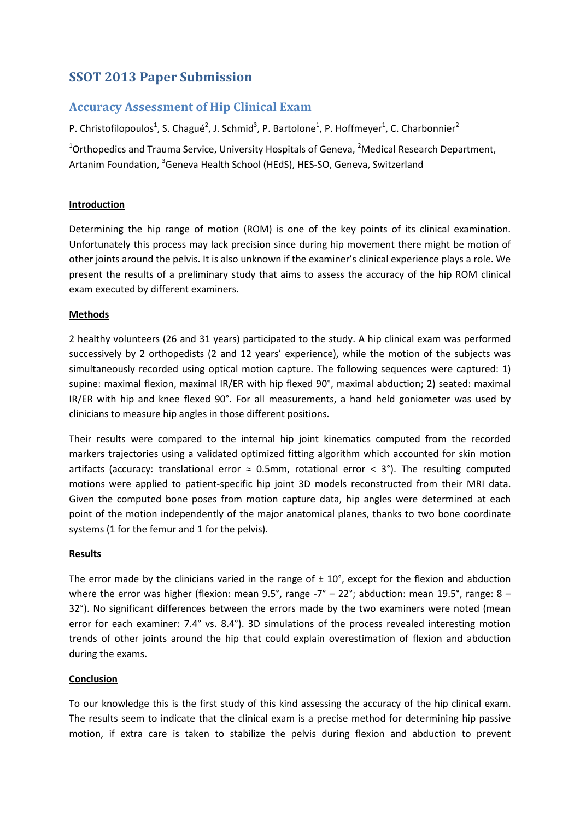# **SSOT 2013 Paper Submission**

# **Accuracy Assessment of Hip Clinical Exam**

P. Christofilopoulos<sup>1</sup>, S. Chagué<sup>2</sup>, J. Schmid<sup>3</sup>, P. Bartolone<sup>1</sup>, P. Hoffmeyer<sup>1</sup>, C. Charbonnier<sup>2</sup>

<sup>1</sup>Orthopedics and Trauma Service, University Hospitals of Geneva, <sup>2</sup>Medical Research Department, Artanim Foundation, <sup>3</sup>Geneva Health School (HEdS), HES-SO, Geneva, Switzerland

## **Introduction**

Determining the hip range of motion (ROM) is one of the key points of its clinical examination. Unfortunately this process may lack precision since during hip movement there might be motion of other joints around the pelvis. It is also unknown if the examiner's clinical experience plays a role. We present the results of a preliminary study that aims to assess the accuracy of the hip ROM clinical exam executed by different examiners.

# **Methods**

2 healthy volunteers (26 and 31 years) participated to the study. A hip clinical exam was performed successively by 2 orthopedists (2 and 12 years' experience), while the motion of the subjects was simultaneously recorded using optical motion capture. The following sequences were captured: 1) supine: maximal flexion, maximal IR/ER with hip flexed 90°, maximal abduction; 2) seated: maximal IR/ER with hip and knee flexed 90°. For all measurements, a hand held goniometer was used by clinicians to measure hip angles in those different positions.

Their results were compared to the internal hip joint kinematics computed from the recorded markers trajectories using a validated optimized fitting algorithm which accounted for skin motion artifacts (accuracy: translational error  $\approx$  0.5mm, rotational error < 3°). The resulting computed motions were applied to patient-specific hip joint 3D models reconstructed from their MRI data. Given the computed bone poses from motion capture data, hip angles were determined at each point of the motion independently of the major anatomical planes, thanks to two bone coordinate systems (1 for the femur and 1 for the pelvis).

## **Results**

The error made by the clinicians varied in the range of  $\pm 10^{\circ}$ , except for the flexion and abduction where the error was higher (flexion: mean 9.5°, range -7° – 22°; abduction: mean 19.5°, range: 8 – 32°). No significant differences between the errors made by the two examiners were noted (mean error for each examiner: 7.4° vs. 8.4°). 3D simulations of the process revealed interesting motion trends of other joints around the hip that could explain overestimation of flexion and abduction during the exams.

## **Conclusion**

To our knowledge this is the first study of this kind assessing the accuracy of the hip clinical exam. The results seem to indicate that the clinical exam is a precise method for determining hip passive motion, if extra care is taken to stabilize the pelvis during flexion and abduction to prevent